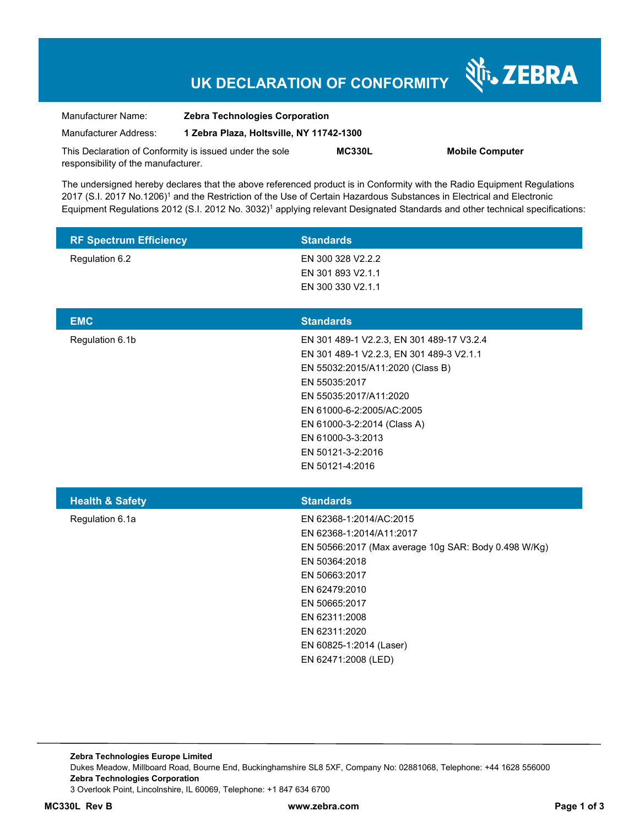# **UK DECLARATION OF CONFORMITY**

Nr. ZEBRA

| Manufacturer Name:                                      | <b>Zebra Technologies Corporation</b><br>1 Zebra Plaza, Holtsville, NY 11742-1300 |               |                        |
|---------------------------------------------------------|-----------------------------------------------------------------------------------|---------------|------------------------|
| Manufacturer Address:                                   |                                                                                   |               |                        |
| This Declaration of Conformity is issued under the sole |                                                                                   | <b>MC330L</b> | <b>Mobile Computer</b> |
| responsibility of the manufacturer.                     |                                                                                   |               |                        |

The undersigned hereby declares that the above referenced product is in Conformity with the Radio Equipment Regulations 2017 (S.I. 2017 No.1206)<sup>1</sup> and the Restriction of the Use of Certain Hazardous Substances in Electrical and Electronic Equipment Regulations 2012 (S.I. 2012 No. 3032)<sup>1</sup> applying relevant Designated Standards and other technical specifications:

| <b>RF Spectrum Efficiency</b> | <b>Standards</b>                                                                                                                                                                                                                                                                              |
|-------------------------------|-----------------------------------------------------------------------------------------------------------------------------------------------------------------------------------------------------------------------------------------------------------------------------------------------|
| Regulation 6.2                | EN 300 328 V2.2.2<br>EN 301 893 V2.1.1<br>EN 300 330 V2.1.1                                                                                                                                                                                                                                   |
| <b>EMC</b>                    | <b>Standards</b>                                                                                                                                                                                                                                                                              |
| Regulation 6.1b               | EN 301 489-1 V2.2.3, EN 301 489-17 V3.2.4<br>EN 301 489-1 V2.2.3, EN 301 489-3 V2.1.1<br>EN 55032:2015/A11:2020 (Class B)<br>EN 55035:2017<br>EN 55035:2017/A11:2020<br>EN 61000-6-2:2005/AC:2005<br>EN 61000-3-2:2014 (Class A)<br>EN 61000-3-3:2013<br>EN 50121-3-2:2016<br>EN 50121-4:2016 |
| <b>Health &amp; Safety</b>    | <b>Standards</b>                                                                                                                                                                                                                                                                              |
| Regulation 6.1a               | EN 62368-1:2014/AC:2015<br>EN 62368-1:2014/A11:2017<br>EN 50566:2017 (Max average 10g SAR: Body 0.498 W/Kg)<br>EN 50364:2018<br>EN 50663:2017<br>EN 62479:2010<br>EN 50665:2017<br>EN 62311:2008<br>EN 62311:2020<br>EN 60825-1:2014 (Laser)<br>EN 62471:2008 (LED)                           |

**Zebra Technologies Europe Limited**  Dukes Meadow, Millboard Road, Bourne End, Buckinghamshire SL8 5XF, Company No: 02881068, Telephone: +44 1628 556000 **Zebra Technologies Corporation**  3 Overlook Point, Lincolnshire, IL 60069, Telephone: +1 847 634 6700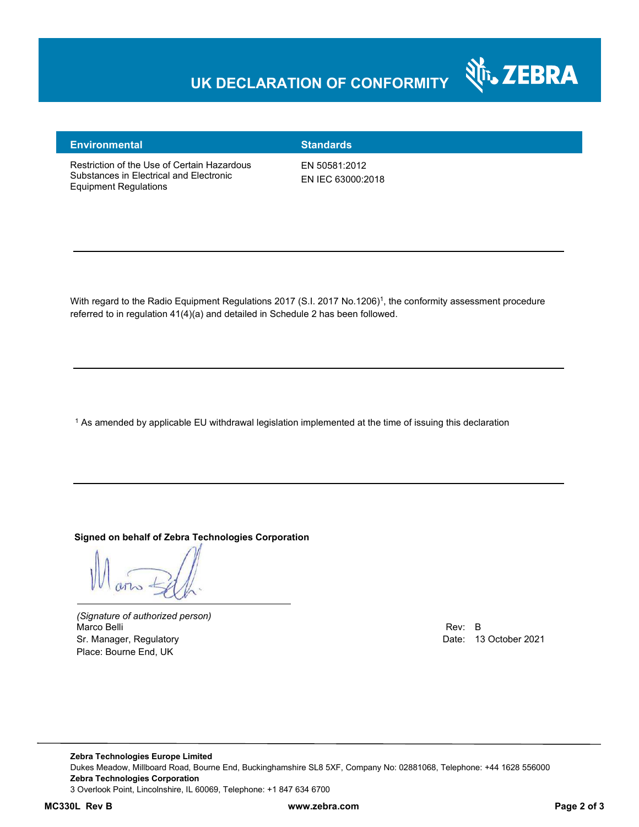## **UK DECLARATION OF CONFORMITY**



### **Environmental Standards**

Restriction of the Use of Certain Hazardous Substances in Electrical and Electronic Equipment Regulations

EN 50581:2012 EN IEC 63000:2018

With regard to the Radio Equipment Regulations 2017 (S.I. 2017 No.1206)<sup>1</sup>, the conformity assessment procedure referred to in regulation 41(4)(a) and detailed in Schedule 2 has been followed.

 $^{\rm 1}$  As amended by applicable EU withdrawal legislation implemented at the time of issuing this declaration

**Signed on behalf of Zebra Technologies Corporation** 

*(Signature of authorized person)* Marco Belli Rev: B Sr. Manager, Regulatory Date: 13 October 2021 Place: Bourne End, UK

**Zebra Technologies Europe Limited**  Dukes Meadow, Millboard Road, Bourne End, Buckinghamshire SL8 5XF, Company No: 02881068, Telephone: +44 1628 556000 **Zebra Technologies Corporation**  3 Overlook Point, Lincolnshire, IL 60069, Telephone: +1 847 634 6700